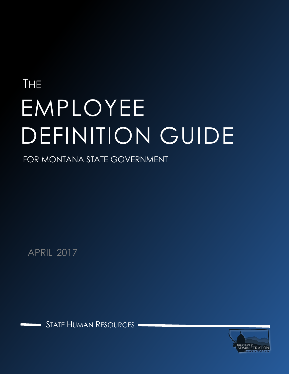# THE EMPLOYEE DEFINITION GUIDE

FOR MONTANA STATE GOVERNMENT

APRIL 2017

STATE HUMAN RESOURCES .

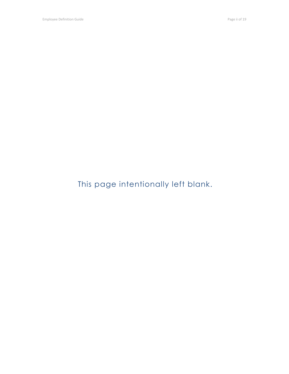This page intentionally left blank.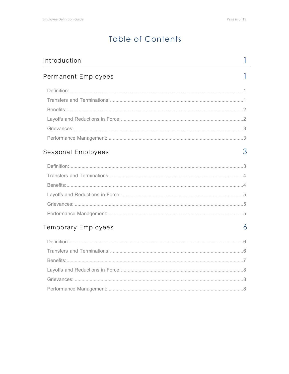# **Table of Contents**

| Introduction               | 1 |
|----------------------------|---|
| <b>Permanent Employees</b> |   |
|                            |   |
|                            |   |
|                            |   |
|                            |   |
|                            |   |
|                            |   |
| Seasonal Employees         | З |
|                            |   |
|                            |   |
|                            |   |
|                            |   |
|                            |   |
|                            |   |
| <b>Temporary Employees</b> | 6 |
|                            |   |
|                            |   |
|                            |   |
|                            |   |
|                            |   |
|                            |   |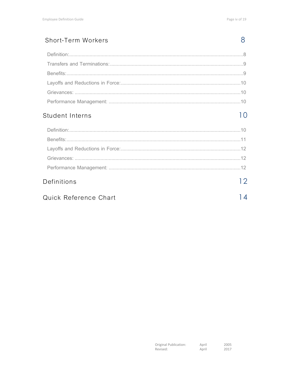8

 $10$ 

#### Short-Term Workers

#### Student Interns

| Definitions |  |
|-------------|--|

#### Quick Reference Chart

<span id="page-3-0"></span> $14$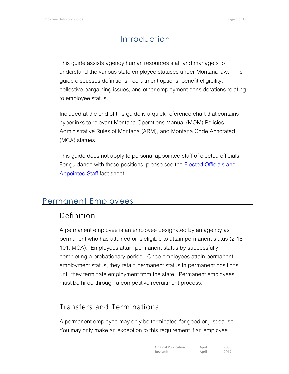This guide assists agency human resources staff and managers to understand the various state employee statuses under Montana law. This guide discusses definitions, recruitment options, benefit eligibility, collective bargaining issues, and other employment considerations relating to employee status.

Included at the end of this guide is a quick-reference chart that contains hyperlinks to relevant Montana Operations Manual (MOM) Policies, Administrative Rules of Montana (ARM), and Montana Code Annotated (MCA) statues.

This guide does not apply to personal appointed staff of elected officials. For guidance with these positions, please see the **Elected Officials and** [Appointed](http://hr.mt.gov/Portals/78/newdocs/factsheets/ElectedOfficialsandAppointedStaff2009.pdf) Staff fact sheet.

## <span id="page-4-0"></span>Permanent Employees

## <span id="page-4-1"></span>Definition

A permanent employee is an employee designated by an agency as permanent who has attained or is eligible to attain permanent status (2-18- 101, MCA). Employees attain permanent status by successfully completing a probationary period. Once employees attain permanent employment status, they retain permanent status in permanent positions until they terminate employment from the state. Permanent employees must be hired through a competitive recruitment process.

## Transfers and Terminations

A permanent employee may only be terminated for good or just cause. You mayonly make an exception to this requirement if an employee

| Original Publication: | April | 2005 |
|-----------------------|-------|------|
| Revised:              | April | 2017 |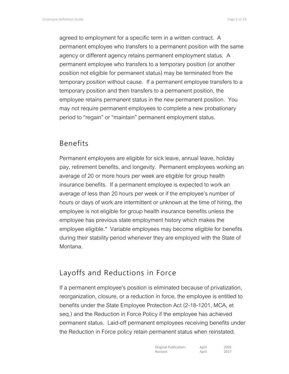agreed to employment for a specific term in a written contract. A permanent employee who transfers to a permanent position with the same agency or different agency retains permanent employment status. A permanent employee who transfers to a temporary position (or another position not eligible for permanent status) may be terminated from the temporary position without cause. If a permanent employee transfers to a temporary position and then transfers to a permanent position, the employee retains permanent status in the new permanent position. You may not require permanent employees to complete a new probationary period to "regain" or "maintain" permanent employment status.

#### Benefits

Permanent employees are eligible for sick leave, annual leave, holiday pay, retirement benefits, and longevity. Permanent employees working an average of 20 or more hours per week are eligible for group health insurance benefits. If a permanent employee is expected to work an average of less than 20 hours per week or if the employee's number of hours or days of work are intermittent or unknown at the time of hiring, the employee is not eligible for group health insurance benefits unless the employee has previous state employment history which makes the employee eligible.\* Variable employees may become eligible for benefits during their stability period whenever they are employed with the State of Montana.

## <span id="page-5-0"></span>Layoffs and Reductions in Force

If a permanent employee's position is eliminated because of privatization, reorganization, closure, or a reduction in force, the employee is entitled to benefits under the State Employee Protection Act (2-18-1201, MCA, et seq.) and the Reduction in Force Policy if the employee has achieved permanent status. Laid-off permanent employees receiving benefits under the Reduction in Force policy retain permanent status when reinstated.

<span id="page-5-1"></span>

| Original Publication: | April | 2005 |
|-----------------------|-------|------|
| Revised:              | April | 2017 |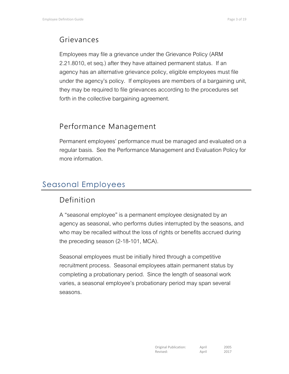## Grievances

Employees may file a grievance under the Grievance Policy (ARM 2.21.8010, et seq.) after they have attained permanent status. If an agency has an alternative grievance policy, eligible employees must file under the agency's policy. If employees are members of a bargaining unit, they may be required to file grievances according to the procedures set forth in the collective bargaining agreement.

#### Performance Management

Permanent employees' performance must be managed and evaluated on a regular basis. See the Performance Management and Evaluation Policy for more information.

# <span id="page-6-0"></span>Seasonal Employees

#### <span id="page-6-1"></span>Definition

A "seasonal employee" is a permanent employee designated by an agency as seasonal, who performs duties interrupted by the seasons, and who may be recalled without the loss of rights or benefits accrued during the preceding season (2-18-101, MCA).

Seasonal employees must be initially hired through a competitive recruitment process. Seasonal employees attain permanent status by completing a probationary period. Since the length of seasonal work varies, a seasonal employee's probationary period may span several seasons.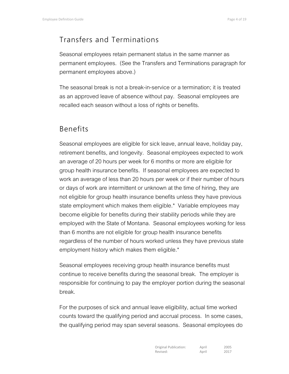#### <span id="page-7-0"></span>Transfers and Terminations

Seasonal employees retain permanent status in the same manner as permanent employees. (See the Transfers and Terminations paragraph for permanent employees above.)

The seasonal break is not a break-in-service or a termination; it is treated as an approved leave of absence without pay. Seasonal employees are recalled each season without a loss of rights or benefits.

#### Benefits

Seasonal employees are eligible for sick leave, annual leave, holiday pay, retirement benefits, and longevity. Seasonal employees expected to work an average of 20 hours per week for 6 months or more are eligible for group health insurance benefits. If seasonal employees are expected to work an average of less than 20 hours per week or if their number of hours or days of work are intermittent or unknown at the time of hiring, they are not eligible for group health insurance benefits unless they have previous state employment which makes them eligible.\* Variable employees may become eligible for benefits during their stability periods while they are employed with the State of Montana. Seasonal employees working for less than 6 months are not eligible for group health insurance benefits regardless of the number of hours worked unless they have previous state employment history which makes them eligible.\*

Seasonal employees receiving group health insurance benefits must continue to receive benefits during the seasonal break. The employer is responsible for continuing to pay the employer portion during the seasonal break.

For the purposes of sick and annual leave eligibility, actual time worked counts toward the qualifying period and accrual process. In some cases, the qualifying period may span several seasons. Seasonal employees do

| Original Publication: | April | 2005 |
|-----------------------|-------|------|
| Revised:              | April | 2017 |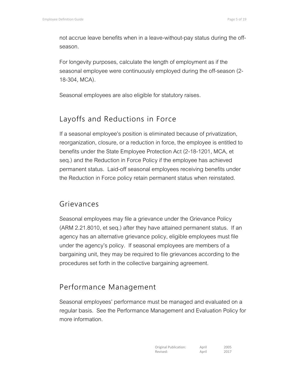not accrue leave benefits when in a leave-without-pay status during the offseason.

For longevity purposes, calculate the length of employment as if the seasonal employee were continuously employed during the off-season (2- 18-304, MCA).

<span id="page-8-0"></span>Seasonal employees are also eligible for statutory raises.

## Layoffs and Reductions in Force

<span id="page-8-1"></span>If a seasonal employee's position is eliminated because of privatization, reorganization, closure, or a reduction in force, the employee is entitled to benefits under the State Employee Protection Act (2-18-1201, MCA, et seq.) and the Reduction in Force Policy if the employee has achieved permanent status. Laid-off seasonal employees receiving benefits under the Reduction in Force policy retain permanent status when reinstated.

#### Grievances

<span id="page-8-2"></span>Seasonal employees may file a grievance under the Grievance Policy  $(ARM 2.21.8010, et seq.)$  after they have attained permanent status. If an agency has an alternative grievance policy, eligible employees must file under the agency's policy. If seasonal employees are members of a bargaining unit, they may be required to file grievances according to the procedures set forth in the collective bargaining agreement.

## Performance Management

Seasonal employees' performance must be managed and evaluated on a regular basis. See the Performance Management and Evaluation Policy for more information.

| Original Publication: | April | 2005 |
|-----------------------|-------|------|
| Revised:              | April | 2017 |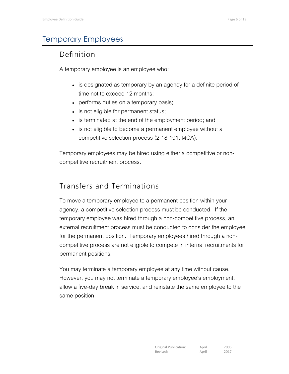# <span id="page-9-0"></span>Temporary Employees

# <span id="page-9-1"></span>Definition

A temporary employee is an employee who:

- is designated as temporary by an agency for a definite period of time not to exceed 12 months;
- performs duties on a temporary basis;
- is not eligible for permanent status;
- is terminated at the end of the employment period; and
- is not eligible to become a permanent employee without a competitive selection process (2-18-101, MCA).

Temporary employees may be hired using either a competitive or noncompetitive recruitment process.

## Transfers and Terminations

To move a temporary employee to a permanent position within your agency, a competitive selection process must be conducted. If the temporary employee was hired through a non-competitive process, an external recruitment process must be conducted to consider the employee for the permanent position. Temporary employees hired through a noncompetitive process are not eligible to compete in internal recruitments for permanent positions.

<span id="page-9-2"></span>You may terminate a temporary employee at any time without cause. However, you may not terminate a temporary employee's employment, allow a five-day break in service, and reinstate the same employee to the same position.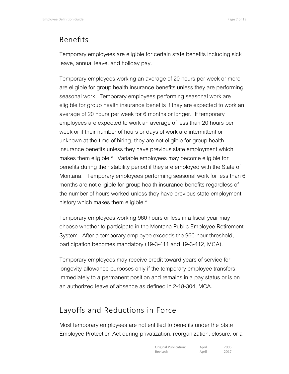## Benefits

Temporary employees are eligible for certain state benefits including sick leave, annual leave, and holiday pay.

Temporary employees working an average of 20 hours per week or more are eligible for group health insurance benefits unless they are performing seasonal work. Temporary employees performing seasonal work are eligible for group health insurance benefits if they are expected to work an average of 20 hours per week for 6 months or longer. If temporary employees are expected to work an average of less than 20 hours per week or if their number of hours or days of work are intermittent or unknown at the time of hiring, theyare not eligible for group health insurance benefits unless they have previous state employment which makes them eligible.\* Variable employees may become eligible for benefits during their stability period if they are employed with the State of Montana. Temporary employees performing seasonal work for less than 6 months are not eligible for group health insurance benefits regardless of the number of hours worked unless they have previous state employment history which makes them eligible.\*

Temporary employees working 960 hours or less in a fiscal year may choose whether to participate in the Montana Public Employee Retirement System. After a temporary employee exceeds the 960-hour threshold, participation becomes mandatory (19-3-411 and 19-3-412, MCA).

Temporary employees may receive credit toward years of service for longevity-allowance purposes only if the temporary employee transfers immediately to a permanent position and remains in a pay status or is on an authorized leave of absence as defined in 2-18-304, MCA.

# Layoffs and Reductions in Force

Most temporary employees are not entitled to benefits under the State Employee Protection Act during privatization, reorganization, closure, or a

<span id="page-10-0"></span>

| Original Publication: | April | 2005 |
|-----------------------|-------|------|
| Revised:              | April | 2017 |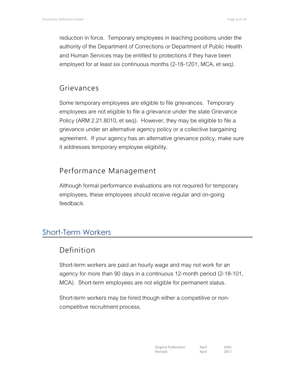reduction in force. Temporary employees in teaching positions under the authority of the Department of Corrections or Department of Public Health and Human Services may be entitled to protections if they have been employed for at least six continuous months (2-18-1201, MCA, et seq).

#### <span id="page-11-0"></span>Grievances

Some temporary employees are eligible to file grievances. Temporary employees are not eligible to file a grievance under the state Grievance Policy (ARM 2.21.8010, et seq). However, they may be eligible to file a grievance under an alternative agency policy or a collective bargaining agreement. If your agency has an alternative grievance policy, make sure it addresses temporary employee eligibility.

## <span id="page-11-1"></span>Performance Management

Although formal performance evaluationsare not required for temporary employees, these employees should receive regular and on-going feedback.

## <span id="page-11-2"></span>Short-Term Workers

#### <span id="page-11-3"></span>Definition

Short-term workers are paid an hourly wage and may not work for an agency for more than 90 days in a continuous 12-month period (2-18-101, MCA). Short-term employees are not eligible for permanent status.

Short-term workers may be hired though either a competitive or noncompetitive recruitment process.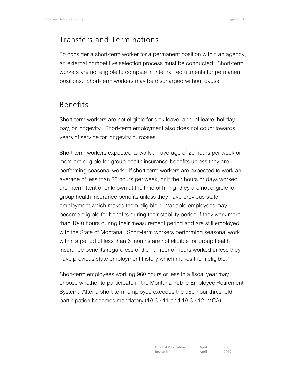#### Transfers and Terminations

To consider a short-term worker for a permanent position within an agency, an external competitive selection process must be conducted. Short-term workers are not eligible to compete in internal recruitments for permanent positions. Short-term workers may be discharged without cause.

#### <span id="page-12-0"></span>Benefits

Short-term workers are not eligible for sick leave, annual leave, holiday pay, or longevity. Short-term employment also does not count towards years of service for longevity purposes.

Short-term workers expected to work an average of 20 hours per week or more are eligible for group health insurance benefits unless they are performing seasonal work. If short-term workersareexpected to work an average of less than 20 hours per week, or if their hours or days worked are intermittent or unknown at the time of hiring, theyare not eligible for group health insurance benefits unless they have previous state employment which makes them eligible.\* Variable employees may become eligible for benefits during their stability period if they work more than 1040 hours during their measurement period and are still employed with the State of Montana. Short-term workers performing seasonal work within a period of less than 6 months are not eligible for group health insurance benefits regardless of the number of hours worked unless they have previous state employment history which makes them eligible.\*

<span id="page-12-1"></span>Short-term employees working 960 hours or less in a fiscal year may choose whether to participate in the Montana Public Employee Retirement System. After a short-term employee exceeds the 960-hour threshold, participation becomes mandatory (19-3-411 and 19-3-412, MCA).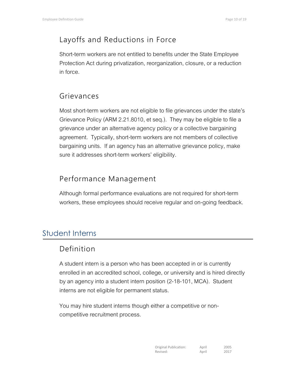## Layoffs and Reductions in Force

<span id="page-13-0"></span>Short-term workers are not entitled to benefits under the State Employee Protection Act during privatization, reorganization, closure, or a reduction in force.

#### Grievances

<span id="page-13-1"></span>Most short-term workers are not eligible to file grievances under the state's Grievance Policy (ARM 2.21.8010, et seq.). They may be eligible to file a grievance under an alternative agency policy or a collective bargaining agreement. Typically, short-term workers are not members of collective bargaining units. If an agency has an alternative grievance policy, make sure it addresses short-term workers' eligibility.

## Performance Management

Although formal performance evaluations are not required for short-term workers, these employees should receive regular and on-going feedback.

# <span id="page-13-3"></span><span id="page-13-2"></span>Student Interns

## Definition

A student intern is a person who has been accepted in or is currently enrolled in an accredited school, college, or university and is hired directly by an agency into a student intern position (2-18-101, MCA). Student interns are not eligible for permanent status.

You may hire student interns though either a competitive or noncompetitive recruitment process.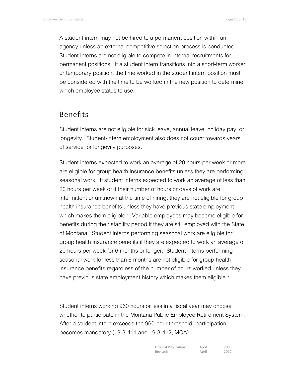A student intern may not be hired to a permanent position within an agency unless an external competitive selection process is conducted. Student interns are not eligible to compete in internal recruitments for permanent positions. If a student intern transitions into a short-term worker or temporary position, the time worked in the student intern position must be considered with the time to be worked in the new position to determine which employee status to use.

#### <span id="page-14-0"></span>Benefits

Student interns are not eligible for sick leave, annual leave, holiday pay, or longevity. Student-intern employment also does not count towards years of service for longevity purposes.

Student interns expected to work an average of 20 hours per week or more are eligible for group health insurance benefits unless they are performing seasonal work. If student interns expected to work an average of less than 20 hours per week or if their number of hours or days of work are intermittent or unknown at the time of hiring, they are not eligible for group health insurance benefits unless they have previous state employment which makes them eligible.\* Variable employees may become eligible for benefits during their stability period if they are still employed with the State of Montana. Student interns performing seasonal work are eligible for group health insurance benefits if they are expected to work an average of 20 hours per week for 6 months or longer. Student interns performing seasonal work for less than 6 months are not eligible for group health insurance benefits regardless of the number of hours worked unless they have previous state employment history which makes them eligible.<sup>\*</sup>

Student interns working 960 hours or less in a fiscal year may choose whether to participate in the Montana Public Employee Retirement System. After a student intern exceeds the 960-hour threshold, participation becomes mandatory (19-3-411 and 19-3-412, MCA).

<span id="page-14-1"></span>

| Original Publication: | April | 2005 |
|-----------------------|-------|------|
| Revised:              | April | 2017 |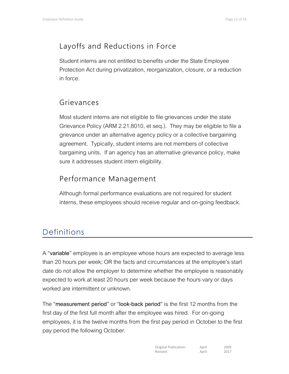## Layoffs and Reductions in Force

<span id="page-15-0"></span>Student interns are not entitled to benefits under the State Employee Protection Act during privatization, reorganization, closure, or a reduction in force.

#### Grievances

Most student interns are not eligible to file grievances under the state Grievance Policy (ARM 2.21.8010, et seq.). They may be eligible to file a grievance under an alternative agency policy or a collective bargaining agreement. Typically, student interns are not members of collective bargaining units. If an agency has an alternative grievance policy, make sure it addresses student intern eligibility.

#### <span id="page-15-1"></span>Performance Management

Although formal performance evaluations are not required for student interns, these employees should receive regular and on-going feedback.

# **Definitions**

A "**variable**"employee is an employee whose hours are expected to average less than 20 hours per week; OR the facts and circumstances at the employee's start date do not allow the employer to determine whether the employee is reasonably expected to work at least 20 hours per week because the hours vary or days worked are intermittent or unknown.

The "**measurement period**" or "**look-back period**" is the first 12 months from the first day of the first full month after the employee was hired. For on-going employees, it is the twelve months from the first pay period in October to the first pay period the following October.

| Original Publication: | April | 2005 |
|-----------------------|-------|------|
| Revised:              | April | 2017 |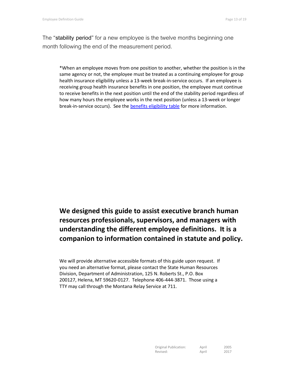The "**stability period**" for a new employee is the twelve months beginning one month following the end of the measurement period.

\*When an employee moves from one position to another, whether the position is in the same agency or not, the employee must be treated as a continuing employee for group health insurance eligibility unless a 13-week break-in-service occurs. If an employee is receiving group health insurance benefits in one position, the employee must continue to receive benefits in the next position until the end of the stability period regardless of how many hours the employee works in the next position (unless a 13-week or longer break-in-service occurs). See the [benefits eligibility table](http://mine.mt.gov/content/documentation/sabhrs/hr/new/jobaids/benefitseligibilitytable_jobaid.doc) for more information.

**We designed this guide to assist executive branch human resources professionals, supervisors, and managers with understanding the different employee definitions. It is a companion to information contained in statute and policy.**

We will provide alternative accessible formats of this guide upon request. If you need an alternative format, please contact the State Human Resources Division, Department of Administration, 125 N. Roberts St., P.O. Box 200127, Helena, MT 59620-0127. Telephone 406-444-3871. Those using a TTY may call through the Montana Relay Service at 711.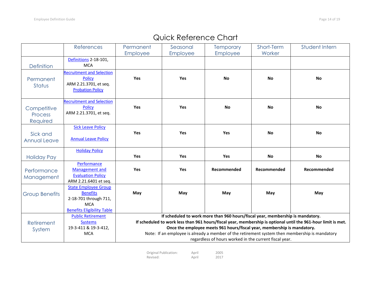# Quick Reference Chart

<span id="page-17-0"></span>

|                                    | <b>References</b>                                                                                                          | Permanent<br>Employee                                                                                                                                                                                                                                                                                                                                                                                                                  | Seasonal<br>Employee | <b>Temporary</b><br><b>Employee</b> | Short-Term<br>Worker | Student Intern |
|------------------------------------|----------------------------------------------------------------------------------------------------------------------------|----------------------------------------------------------------------------------------------------------------------------------------------------------------------------------------------------------------------------------------------------------------------------------------------------------------------------------------------------------------------------------------------------------------------------------------|----------------------|-------------------------------------|----------------------|----------------|
| Definition                         | Definitions 2-18-101,<br><b>MCA</b>                                                                                        |                                                                                                                                                                                                                                                                                                                                                                                                                                        |                      |                                     |                      |                |
| Permanent<br>Status                | <b>Recruitment and Selection</b><br><b>Policy</b><br>ARM 2.21.3701, et seq.<br><b>Probation Policy</b>                     | <b>Yes</b>                                                                                                                                                                                                                                                                                                                                                                                                                             | <b>Yes</b>           | <b>No</b>                           | <b>No</b>            | <b>No</b>      |
| Competitive<br>Process<br>Required | <b>Recruitment and Selection</b><br><b>Policy</b><br>ARM 2.21.3701, et seq.                                                | Yes                                                                                                                                                                                                                                                                                                                                                                                                                                    | Yes                  | <b>No</b>                           | <b>No</b>            | <b>No</b>      |
| Sick and<br><b>Annual Leave</b>    | <b>Sick Leave Policy</b><br><b>Annual Leave Policy</b>                                                                     | <b>Yes</b>                                                                                                                                                                                                                                                                                                                                                                                                                             | Yes                  | Yes                                 | <b>No</b>            | <b>No</b>      |
| <b>Holiday Pay</b>                 | <b>Holiday Policy</b>                                                                                                      | Yes                                                                                                                                                                                                                                                                                                                                                                                                                                    | Yes                  | Yes                                 | <b>No</b>            | No             |
| Performance<br>Management          | Performance<br>Management and<br><b>Evaluation Policy</b><br>ARM 2.21.6401 et seq.                                         | <b>Yes</b>                                                                                                                                                                                                                                                                                                                                                                                                                             | Yes                  | Recommended                         | Recommended          | Recommended    |
| <b>Group Benefits</b>              | <b>State Employee Group</b><br><b>Benefits</b><br>2-18-701 through 711,<br><b>MCA</b><br><b>Benefits Eligibility Table</b> | May                                                                                                                                                                                                                                                                                                                                                                                                                                    | May                  | May                                 | May                  | May            |
| Retirement<br>System               | <b>Public Retirement</b><br><b>Systems</b><br>19-3-411 & 19-3-412,<br><b>MCA</b>                                           | If scheduled to work more than 960 hours/fiscal year, membership is mandatory.<br>If scheduled to work less than 961 hours/fiscal year, membership is optional until the 961-hour limit is met.<br>Once the employee meets 961 hours/fiscal year, membership is mandatory.<br>Note: If an employee is already a member of the retirement system then membership is mandatory<br>regardless of hours worked in the current fiscal year. |                      |                                     |                      |                |

Original Publication: April 2005 Revised: April 2017